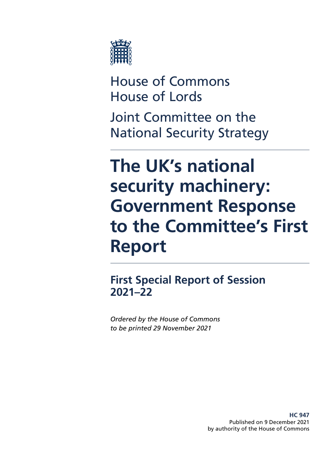

House of Commons House of Lords

Joint Committee on the National Security Strategy

# **The UK's national security machinery: Government Response to the Committee's First Report**

**First Special Report of Session 2021–22**

*Ordered by the House of Commons to be printed 29 November 2021*

> **HC 947** Published on 9 December 2021 by authority of the House of Commons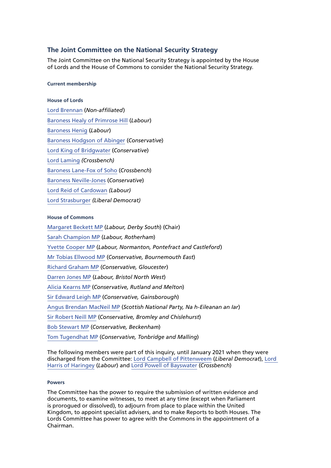#### **The Joint Committee on the National Security Strategy**

The Joint Committee on the National Security Strategy is appointed by the House of Lords and the House of Commons to consider the National Security Strategy.

#### **Current membership**

#### **House of Lords**

Lord Brennan (*Non-affiliated*) Baroness Healy of Primrose Hill (*Labour*) Baroness Henig (*Labour*) Baroness Hodgson of Abinger (*Conservative*) Lord King of Bridgwater (*Conservative*) [Lord Laming](https://members.parliament.uk/member/2079/contact) *(Crossbench)* Baroness Lane-Fox of Soho (*Crossbench*) Baroness Neville-Jones (*Conservative*) [Lord Reid of Cardowan](https://members.parliament.uk/member/617/contact) *(Labour)* [Lord Strasburger](https://members.parliament.uk/member/4204/contact) *(Liberal Democrat)*

#### **House of Commons**

Margaret Beckett MP (*Labour, Derby South*) (Chair) [Sarah Champion MP](https://members.parliament.uk/member/2079/contact) (*Labour, Rotherham*) Yvette Cooper MP (*Labour, Normanton, Pontefract and Castleford*) Mr Tobias Ellwood MP (*Conservative, Bournemouth East*) Richard Graham MP (*Conservative, Gloucester*) Darren Jones MP (*Labour, Bristol North West*) Alicia Kearns MP (*Conservative, Rutland and Melton*) Sir Edward Leigh MP (*Conservative, Gainsborough*) [Angus Brendan MacNeil MP](https://members.parliament.uk/member/617/contact) (*Scottish National Party, Na h-Eileanan an Iar*) Sir Robert Neill MP (*Conservative, Bromley and Chislehurst*) [Bob Stewart MP](https://members.parliament.uk/member/4204/contact) (*Conservative, Beckenham*) Tom Tugendhat MP (*Conservative, Tonbridge and Malling*)

The following members were part of this inquiry, until January 2021 when they were discharged from the Committee: [Lord Campbell of Pittenweem](https://members.parliament.uk/member/627/contact) (*Liberal Democrat*), [Lord](https://members.parliament.uk/member/2671/contact)  [Harris of Haringey](https://members.parliament.uk/member/2671/contact) (*Labour*) and [Lord Powell of Bayswater](https://members.parliament.uk/member/2527/contact) (*Crossbench*)

#### **Powers**

The Committee has the power to require the submission of written evidence and documents, to examine witnesses, to meet at any time (except when Parliament is prorogued or dissolved), to adjourn from place to place within the United Kingdom, to appoint specialist advisers, and to make Reports to both Houses. The Lords Committee has power to agree with the Commons in the appointment of a Chairman.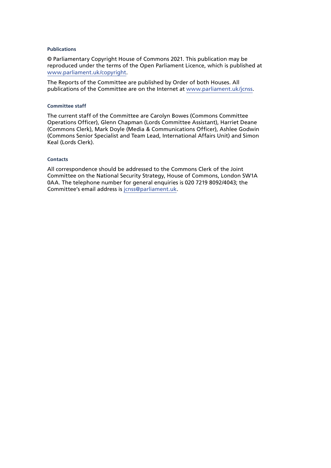#### **Publications**

© Parliamentary Copyright House of Commons 2021. This publication may be reproduced under the terms of the Open Parliament Licence, which is published at www.parliament.uk/copyright.

The Reports of the Committee are published by Order of both Houses. All publications of the Committee are on the Internet at www.parliament.uk/jcnss.

#### **Committee staff**

The current staff of the Committee are Carolyn Bowes (Commons Committee Operations Officer), Glenn Chapman (Lords Committee Assistant), Harriet Deane (Commons Clerk), Mark Doyle (Media & Communications Officer), Ashlee Godwin (Commons Senior Specialist and Team Lead, International Affairs Unit) and Simon Keal (Lords Clerk).

#### **Contacts**

All correspondence should be addressed to the Commons Clerk of the Joint Committee on the National Security Strategy, House of Commons, London SW1A 0AA. The telephone number for general enquiries is 020 7219 8092/4043; the Committee's email address is jcnss@parliament.uk.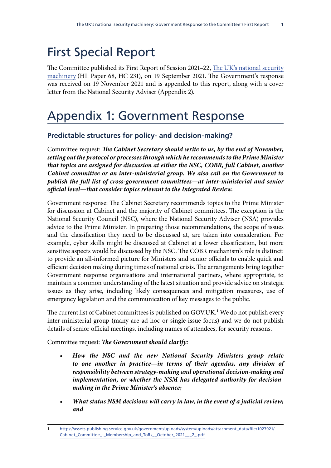## First Special Report

The Committee published its First Report of Session 2021–22, [The UK's national security](https://publications.parliament.uk/pa/jt5802/jtselect/jtnatsec/231/23102.htm) [machinery](https://publications.parliament.uk/pa/jt5802/jtselect/jtnatsec/231/23102.htm) (HL Paper 68, HC 231), on 19 September 2021. The Government's response was received on 19 November 2021 and is appended to this report, along with a cover letter from the National Security Adviser (Appendix 2).

## Appendix 1: Government Response

## **Predictable structures for policy- and decision-making?**

Committee request: *The Cabinet Secretary should write to us, by the end of November, setting out the protocol or processes through which he recommends to the Prime Minister that topics are assigned for discussion at either the NSC, COBR, full Cabinet, another Cabinet committee or an inter-ministerial group. We also call on the Government to publish the full list of cross-government committees—at inter-ministerial and senior official level—that consider topics relevant to the Integrated Review.*

Government response: The Cabinet Secretary recommends topics to the Prime Minister for discussion at Cabinet and the majority of Cabinet committees. The exception is the National Security Council (NSC), where the National Security Adviser (NSA) provides advice to the Prime Minister. In preparing those recommendations, the scope of issues and the classification they need to be discussed at, are taken into consideration. For example, cyber skills might be discussed at Cabinet at a lower classification, but more sensitive aspects would be discussed by the NSC. The COBR mechanism's role is distinct: to provide an all-informed picture for Ministers and senior officials to enable quick and efficient decision making during times of national crisis. The arrangements bring together Government response organisations and international partners, where appropriate, to maintain a common understanding of the latest situation and provide advice on strategic issues as they arise, including likely consequences and mitigation measures, use of emergency legislation and the communication of key messages to the public.

The current list of Cabinet committees is published on GOV.UK.<sup>1</sup> We do not publish every inter-ministerial group (many are ad hoc or single-issue focus) and we do not publish details of senior official meetings, including names of attendees, for security reasons.

Committee request: *The Government should clarify:*

- *How the NSC and the new National Security Ministers group relate to one another in practice—in terms of their agendas, any division of responsibility between strategy-making and operational decision-making and implementation, or whether the NSM has delegated authority for decisionmaking in the Prime Minister's absence;*
- *What status NSM decisions will carry in law, in the event of a judicial review; and*

<sup>1</sup> [https://assets.publishing.service.gov.uk/government/uploads/system/uploads/attachment\\_data/file/1027921/](https://assets.publishing.service.gov.uk/government/uploads/system/uploads/attachment_data/file/1027921/Cabinet_Committee_-_Membership_and_ToRs__October_2021___2_.pdf) [Cabinet\\_Committee\\_-\\_Membership\\_and\\_ToRs\\_\\_October\\_2021\\_\\_\\_2\\_.pdf](https://assets.publishing.service.gov.uk/government/uploads/system/uploads/attachment_data/file/1027921/Cabinet_Committee_-_Membership_and_ToRs__October_2021___2_.pdf)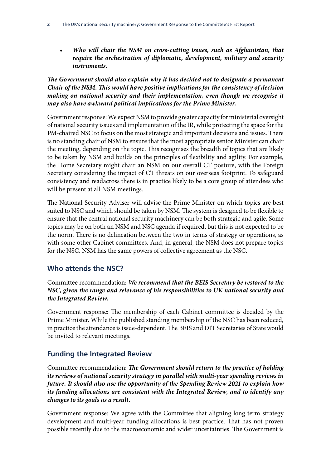• *Who will chair the NSM on cross-cutting issues, such as Afghanistan, that require the orchestration of diplomatic, development, military and security instruments.*

*The Government should also explain why it has decided not to designate a permanent Chair of the NSM. This would have positive implications for the consistency of decision making on national security and their implementation, even though we recognise it may also have awkward political implications for the Prime Minister.*

Government response: We expect NSM to provide greater capacity for ministerial oversight of national security issues and implementation of the IR, while protecting the space for the PM-chaired NSC to focus on the most strategic and important decisions and issues. There is no standing chair of NSM to ensure that the most appropriate senior Minister can chair the meeting, depending on the topic. This recognises the breadth of topics that are likely to be taken by NSM and builds on the principles of flexibility and agility. For example, the Home Secretary might chair an NSM on our overall CT posture, with the Foreign Secretary considering the impact of CT threats on our overseas footprint. To safeguard consistency and readacross there is in practice likely to be a core group of attendees who will be present at all NSM meetings.

The National Security Adviser will advise the Prime Minister on which topics are best suited to NSC and which should be taken by NSM. The system is designed to be flexible to ensure that the central national security machinery can be both strategic and agile. Some topics may be on both an NSM and NSC agenda if required, but this is not expected to be the norm. There is no delineation between the two in terms of strategy or operations, as with some other Cabinet committees. And, in general, the NSM does not prepare topics for the NSC. NSM has the same powers of collective agreement as the NSC.

### **Who attends the NSC?**

Committee recommendation: *We recommend that the BEIS Secretary be restored to the NSC, given the range and relevance of his responsibilities to UK national security and the Integrated Review.*

Government response: The membership of each Cabinet committee is decided by the Prime Minister. While the published standing membership of the NSC has been reduced, in practice the attendance is issue-dependent. The BEIS and DIT Secretaries of State would be invited to relevant meetings.

## **Funding the Integrated Review**

Committee recommendation: *The Government should return to the practice of holding its reviews of national security strategy in parallel with multi-year spending reviews in future. It should also use the opportunity of the Spending Review 2021 to explain how its funding allocations are consistent with the Integrated Review, and to identify any changes to its goals as a result.*

Government response: We agree with the Committee that aligning long term strategy development and multi-year funding allocations is best practice. That has not proven possible recently due to the macroeconomic and wider uncertainties. The Government is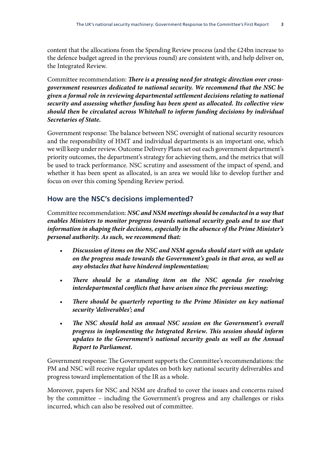content that the allocations from the Spending Review process (and the £24bn increase to the defence budget agreed in the previous round) are consistent with, and help deliver on, the Integrated Review.

Committee recommendation: *There is a pressing need for strategic direction over crossgovernment resources dedicated to national security. We recommend that the NSC be given a formal role in reviewing departmental settlement decisions relating to national security and assessing whether funding has been spent as allocated. Its collective view should then be circulated across Whitehall to inform funding decisions by individual Secretaries of State.*

Government response: The balance between NSC oversight of national security resources and the responsibility of HMT and individual departments is an important one, which we will keep under review. Outcome Delivery Plans set out each government department's priority outcomes, the department's strategy for achieving them, and the metrics that will be used to track performance. NSC scrutiny and assessment of the impact of spend, and whether it has been spent as allocated, is an area we would like to develop further and focus on over this coming Spending Review period.

#### **How are the NSC's decisions implemented?**

Committee recommendation: *NSC and NSM meetings should be conducted in a way that enables Ministers to monitor progress towards national security goals and to use that information in shaping their decisions, especially in the absence of the Prime Minister's personal authority. As such, we recommend that:*

- *Discussion of items on the NSC and NSM agenda should start with an update on the progress made towards the Government's goals in that area, as well as any obstacles that have hindered implementation;*
- *There should be a standing item on the NSC agenda for resolving interdepartmental conflicts that have arisen since the previous meeting;*
- *There should be quarterly reporting to the Prime Minister on key national security 'deliverables'; and*
- *The NSC should hold an annual NSC session on the Government's overall progress in implementing the Integrated Review. This session should inform updates to the Government's national security goals as well as the Annual Report to Parliament.*

Government response: The Government supports the Committee's recommendations: the PM and NSC will receive regular updates on both key national security deliverables and progress toward implementation of the IR as a whole.

Moreover, papers for NSC and NSM are drafted to cover the issues and concerns raised by the committee – including the Government's progress and any challenges or risks incurred, which can also be resolved out of committee.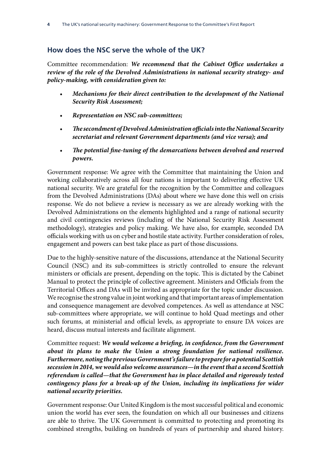## **How does the NSC serve the whole of the UK?**

Committee recommendation: *We recommend that the Cabinet Office undertakes a review of the role of the Devolved Administrations in national security strategy- and policy-making, with consideration given to:*

- *Mechanisms for their direct contribution to the development of the National Security Risk Assessment;*
- *Representation on NSC sub-committees;*
- *The secondment of Devolved Administration officials into the National Security secretariat and relevant Government departments (and vice versa); and*
- *The potential fine-tuning of the demarcations between devolved and reserved powers.*

Government response: We agree with the Committee that maintaining the Union and working collaboratively across all four nations is important to delivering effective UK national security. We are grateful for the recognition by the Committee and colleagues from the Devolved Administrations (DAs) about where we have done this well on crisis response. We do not believe a review is necessary as we are already working with the Devolved Administrations on the elements highlighted and a range of national security and civil contingencies reviews (including of the National Security Risk Assessment methodology), strategies and policy making. We have also, for example, seconded DA officials working with us on cyber and hostile state activity. Further consideration of roles, engagement and powers can best take place as part of those discussions.

Due to the highly-sensitive nature of the discussions, attendance at the National Security Council (NSC) and its sub-committees is strictly controlled to ensure the relevant ministers or officials are present, depending on the topic. This is dictated by the Cabinet Manual to protect the principle of collective agreement. Ministers and Officials from the Territorial Offices and DAs will be invited as appropriate for the topic under discussion. We recognise the strong value in joint working and that important areas of implementation and consequence management are devolved competences. As well as attendance at NSC sub-committees where appropriate, we will continue to hold Quad meetings and other such forums, at ministerial and official levels, as appropriate to ensure DA voices are heard, discuss mutual interests and facilitate alignment.

Committee request: *We would welcome a briefing, in confidence, from the Government about its plans to make the Union a strong foundation for national resilience. Furthermore, noting the previous Government's failure to prepare for a potential Scottish secession in 2014, we would also welcome assurances—in the event that a second Scottish referendum is called—that the Government has in place detailed and rigorously tested*  contingency plans for a break-up of the Union, including its implications for wider *national security priorities.*

Government response: Our United Kingdom is the most successful political and economic union the world has ever seen, the foundation on which all our businesses and citizens are able to thrive. The UK Government is committed to protecting and promoting its combined strengths, building on hundreds of years of partnership and shared history.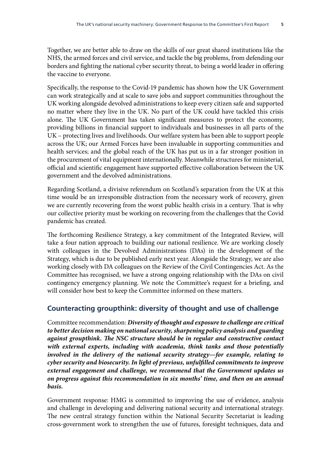Together, we are better able to draw on the skills of our great shared institutions like the NHS, the armed forces and civil service, and tackle the big problems, from defending our borders and fighting the national cyber security threat, to being a world leader in offering the vaccine to everyone.

Specifically, the response to the Covid-19 pandemic has shown how the UK Government can work strategically and at scale to save jobs and support communities throughout the UK working alongside devolved administrations to keep every citizen safe and supported no matter where they live in the UK. No part of the UK could have tackled this crisis alone. The UK Government has taken significant measures to protect the economy, providing billions in financial support to individuals and businesses in all parts of the UK – protecting lives and livelihoods. Our welfare system has been able to support people across the UK; our Armed Forces have been invaluable in supporting communities and health services; and the global reach of the UK has put us in a far stronger position in the procurement of vital equipment internationally. Meanwhile structures for ministerial, official and scientific engagement have supported effective collaboration between the UK government and the devolved administrations.

Regarding Scotland, a divisive referendum on Scotland's separation from the UK at this time would be an irresponsible distraction from the necessary work of recovery, given we are currently recovering from the worst public health crisis in a century. That is why our collective priority must be working on recovering from the challenges that the Covid pandemic has created.

The forthcoming Resilience Strategy, a key commitment of the Integrated Review, will take a four nation approach to building our national resilience. We are working closely with colleagues in the Devolved Administrations (DAs) in the development of the Strategy, which is due to be published early next year. Alongside the Strategy, we are also working closely with DA colleagues on the Review of the Civil Contingencies Act. As the Committee has recognised, we have a strong ongoing relationship with the DAs on civil contingency emergency planning. We note the Committee's request for a briefing, and will consider how best to keep the Committee informed on these matters.

### **Counteracting groupthink: diversity of thought and use of challenge**

Committee recommendation: *Diversity of thought and exposure to challenge are critical to better decision making on national security, sharpening policy analysis and guarding against groupthink. The NSC structure should be in regular and constructive contact with external experts, including with academia, think tanks and those potentially involved in the delivery of the national security strategy—for example, relating to cyber security and biosecurity. In light of previous, unfulfilled commitments to improve external engagement and challenge, we recommend that the Government updates us on progress against this recommendation in six months' time, and then on an annual basis.*

Government response: HMG is committed to improving the use of evidence, analysis and challenge in developing and delivering national security and international strategy. The new central strategy function within the National Security Secretariat is leading cross-government work to strengthen the use of futures, foresight techniques, data and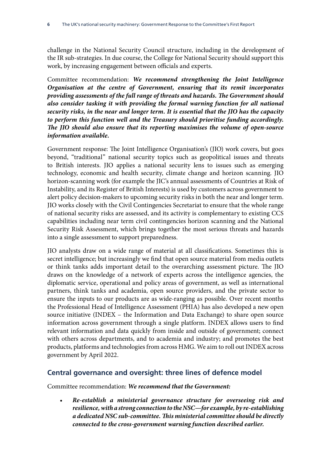challenge in the National Security Council structure, including in the development of the IR sub-strategies. In due course, the College for National Security should support this work, by increasing engagement between officials and experts.

Committee recommendation: *We recommend strengthening the Joint Intelligence Organisation at the centre of Government, ensuring that its remit incorporates providing assessments of the full range of threats and hazards. The Government should also consider tasking it with providing the formal warning function for all national security risks, in the near and longer term. It is essential that the JIO has the capacity to perform this function well and the Treasury should prioritise funding accordingly. The JIO should also ensure that its reporting maximises the volume of open-source information available.*

Government response: The Joint Intelligence Organisation's (JIO) work covers, but goes beyond, "traditional" national security topics such as geopolitical issues and threats to British interests. JIO applies a national security lens to issues such as emerging technology, economic and health security, climate change and horizon scanning. JIO horizon-scanning work (for example the JIC's annual assessments of Countries at Risk of Instability, and its Register of British Interests) is used by customers across government to alert policy decision-makers to upcoming security risks in both the near and longer term. JIO works closely with the Civil Contingencies Secretariat to ensure that the whole range of national security risks are assessed, and its activity is complementary to existing CCS capabilities including near term civil contingencies horizon scanning and the National Security Risk Assessment, which brings together the most serious threats and hazards into a single assessment to support preparedness.

JIO analysts draw on a wide range of material at all classifications. Sometimes this is secret intelligence; but increasingly we find that open source material from media outlets or think tanks adds important detail to the overarching assessment picture. The JIO draws on the knowledge of a network of experts across the intelligence agencies, the diplomatic service, operational and policy areas of government, as well as international partners, think tanks and academia, open source providers, and the private sector to ensure the inputs to our products are as wide-ranging as possible. Over recent months the Professional Head of Intelligence Assessment (PHIA) has also developed a new open source initiative (INDEX – the Information and Data Exchange) to share open source information across government through a single platform. INDEX allows users to find relevant information and data quickly from inside and outside of government; connect with others across departments, and to academia and industry; and promotes the best products, platforms and technologies from across HMG. We aim to roll out INDEX across government by April 2022.

### **Central governance and oversight: three lines of defence model**

Committee recommendation: *We recommend that the Government:*

• *Re-establish a ministerial governance structure for overseeing risk and resilience, with a strong connection to the NSC—for example, by re-establishing a dedicated NSC sub-committee. This ministerial committee should be directly connected to the cross-government warning function described earlier.*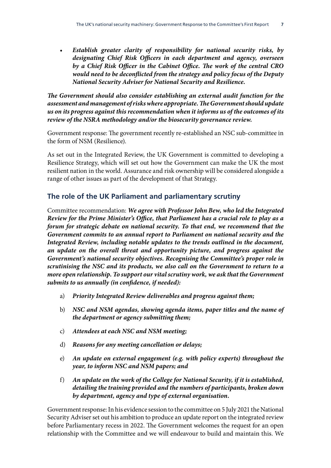• *Establish greater clarity of responsibility for national security risks, by designating Chief Risk Officers in each department and agency, overseen by a Chief Risk Officer in the Cabinet Office. The work of the central CRO would need to be deconflicted from the strategy and policy focus of the Deputy National Security Adviser for National Security and Resilience.*

*The Government should also consider establishing an external audit function for the assessment and management of risks where appropriate. The Government should update us on its progress against this recommendation when it informs us of the outcomes of its review of the NSRA methodology and/or the biosecurity governance review.*

Government response: The government recently re-established an NSC sub-committee in the form of NSM (Resilience).

As set out in the Integrated Review, the UK Government is committed to developing a Resilience Strategy, which will set out how the Government can make the UK the most resilient nation in the world. Assurance and risk ownership will be considered alongside a range of other issues as part of the development of that Strategy.

## **The role of the UK Parliament and parliamentary scrutiny**

Committee recommendation: *We agree with Professor John Bew, who led the Integrated Review for the Prime Minister's Office, that Parliament has a crucial role to play as a forum for strategic debate on national security. To that end, we recommend that the Government commits to an annual report to Parliament on national security and the Integrated Review, including notable updates to the trends outlined in the document, an update on the overall threat and opportunity picture, and progress against the Government's national security objectives. Recognising the Committee's proper role in scrutinising the NSC and its products, we also call on the Government to return to a more open relationship. To support our vital scrutiny work, we ask that the Government submits to us annually (in confidence, if needed):*

- a) *Priority Integrated Review deliverables and progress against them;*
- b) *NSC and NSM agendas, showing agenda items, paper titles and the name of the department or agency submitting them;*
- c) *Attendees at each NSC and NSM meeting;*
- d) *Reasons for any meeting cancellation or delays;*
- e) *An update on external engagement (e.g. with policy experts) throughout the year, to inform NSC and NSM papers; and*
- f) *An update on the work of the College for National Security, if it is established, detailing the training provided and the numbers of participants, broken down by department, agency and type of external organisation.*

Government response: In his evidence session to the committee on 5 July 2021 the National Security Adviser set out his ambition to produce an update report on the integrated review before Parliamentary recess in 2022. The Government welcomes the request for an open relationship with the Committee and we will endeavour to build and maintain this. We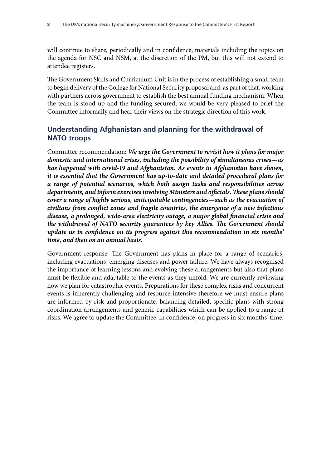will continue to share, periodically and in confidence, materials including the topics on the agenda for NSC and NSM, at the discretion of the PM, but this will not extend to attendee registers.

The Government Skills and Curriculum Unit is in the process of establishing a small team to begin delivery of the College for National Security proposal and, as part of that, working with partners across government to establish the best annual funding mechanism. When the team is stood up and the funding secured, we would be very pleased to brief the Committee informally and hear their views on the strategic direction of this work.

## **Understanding Afghanistan and planning for the withdrawal of NATO troops**

Committee recommendation: *We urge the Government to revisit how it plans for major domestic and international crises, including the possibility of simultaneous crises—as has happened with covid-19 and Afghanistan. As events in Afghanistan have shown, it is essential that the Government has up-to-date and detailed procedural plans for a range of potential scenarios, which both assign tasks and responsibilities across departments, and inform exercises involving Ministers and officials. These plans should cover a range of highly serious, anticipatable contingencies—such as the evacuation of civilians from conflict zones and fragile countries, the emergence of a new infectious disease, a prolonged, wide-area electricity outage, a major global financial crisis and the withdrawal of NATO security guarantees by key Allies. The Government should update us in confidence on its progress against this recommendation in six months' time, and then on an annual basis.*

Government response: The Government has plans in place for a range of scenarios, including evacuations, emerging diseases and power failure. We have always recognised the importance of learning lessons and evolving these arrangements but also that plans must be flexible and adaptable to the events as they unfold. We are currently reviewing how we plan for catastrophic events. Preparations for these complex risks and concurrent events is inherently challenging and resource-intensive therefore we must ensure plans are informed by risk and proportionate, balancing detailed, specific plans with strong coordination arrangements and generic capabilities which can be applied to a range of risks. We agree to update the Committee, in confidence, on progress in six months' time.